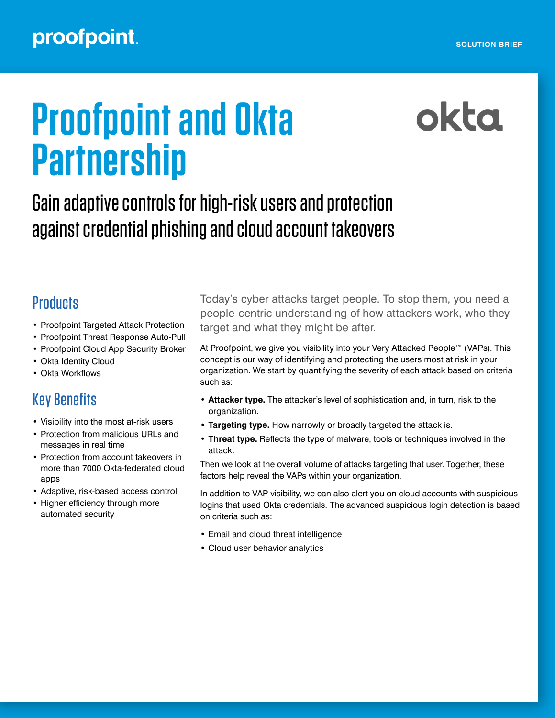## proofpoint.

# **Proofpoint and Okta Partnership**

# okta

## Gain adaptive controls for high-risk users and protection against credential phishing and cloud account takeovers

## **Products**

- Proofpoint Targeted Attack Protection
- Proofpoint Threat Response Auto-Pull
- Proofpoint Cloud App Security Broker
- Okta Identity Cloud
- Okta Workflows

## Key Benefits

- Visibility into the most at-risk users
- Protection from malicious URLs and messages in real time
- Protection from account takeovers in more than 7000 Okta-federated cloud apps
- Adaptive, risk-based access control
- Higher efficiency through more automated security

Today's cyber attacks target people. To stop them, you need a people‑centric understanding of how attackers work, who they target and what they might be after.

At Proofpoint, we give you visibility into your Very Attacked People™ (VAPs). This concept is our way of identifying and protecting the users most at risk in your organization. We start by quantifying the severity of each attack based on criteria such as:

- **Attacker type.** The attacker's level of sophistication and, in turn, risk to the organization.
- **• Targeting type.** How narrowly or broadly targeted the attack is.
- **• Threat type.** Reflects the type of malware, tools or techniques involved in the attack.

Then we look at the overall volume of attacks targeting that user. Together, these factors help reveal the VAPs within your organization.

In addition to VAP visibility, we can also alert you on cloud accounts with suspicious logins that used Okta credentials. The advanced suspicious login detection is based on criteria such as:

- Email and cloud threat intelligence
- Cloud user behavior analytics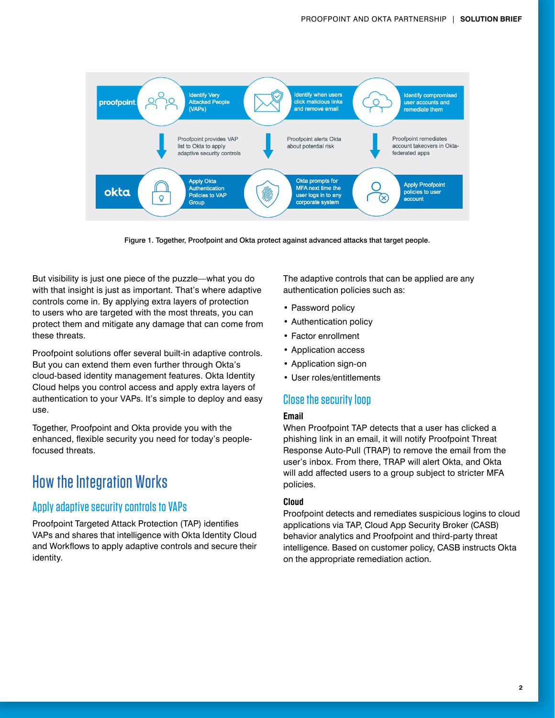

Figure 1. Together, Proofpoint and Okta protect against advanced attacks that target people.

But visibility is just one piece of the puzzle—what you do with that insight is just as important. That's where adaptive controls come in. By applying extra layers of protection to users who are targeted with the most threats, you can protect them and mitigate any damage that can come from these threats.

Proofpoint solutions offer several built-in adaptive controls. But you can extend them even further through Okta's cloud-based identity management features. Okta Identity Cloud helps you control access and apply extra layers of authentication to your VAPs. It's simple to deploy and easy use.

Together, Proofpoint and Okta provide you with the enhanced, flexible security you need for today's peoplefocused threats.

### How the Integration Works

#### Apply adaptive security controls to VAPs

Proofpoint Targeted Attack Protection (TAP) identifies VAPs and shares that intelligence with Okta Identity Cloud and Workflows to apply adaptive controls and secure their identity.

The adaptive controls that can be applied are any authentication policies such as:

- Password policy
- Authentication policy
- Factor enrollment
- Application access
- Application sign-on
- User roles/entitlements

#### Close the security loop

#### **Email**

When Proofpoint TAP detects that a user has clicked a phishing link in an email, it will notify Proofpoint Threat Response Auto-Pull (TRAP) to remove the email from the user's inbox. From there, TRAP will alert Okta, and Okta will add affected users to a group subject to stricter MFA policies.

#### **Cloud**

Proofpoint detects and remediates suspicious logins to cloud applications via TAP, Cloud App Security Broker (CASB) behavior analytics and Proofpoint and third-party threat intelligence. Based on customer policy, CASB instructs Okta on the appropriate remediation action.